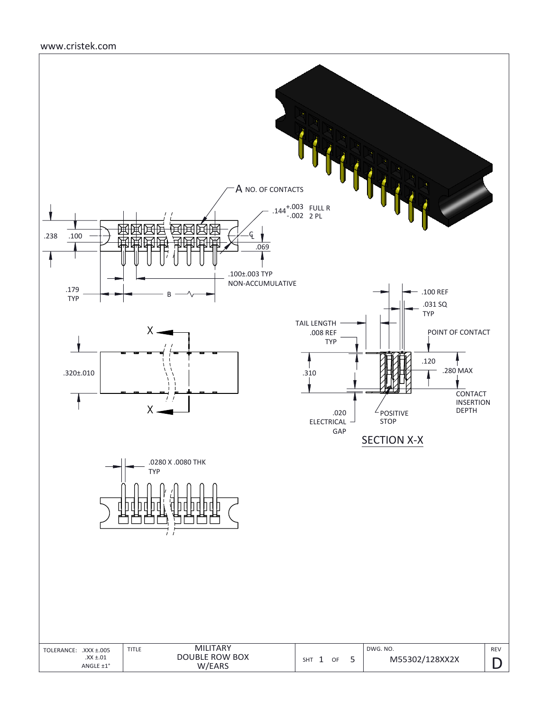### www.cristek.com

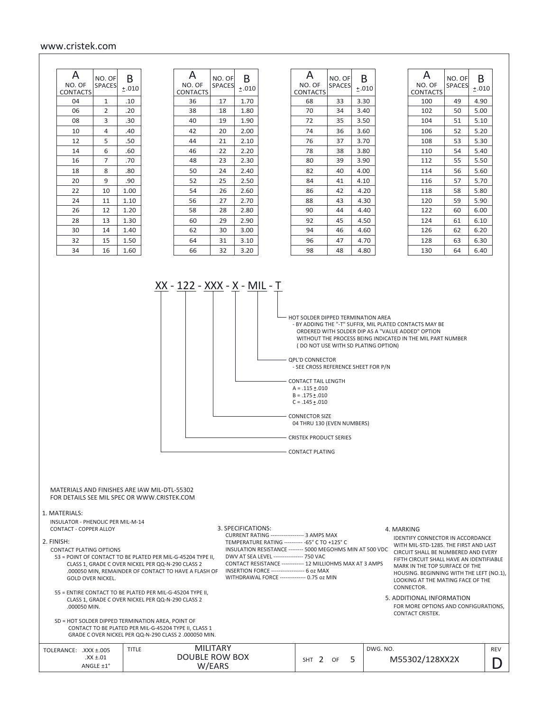#### www.cristek.com

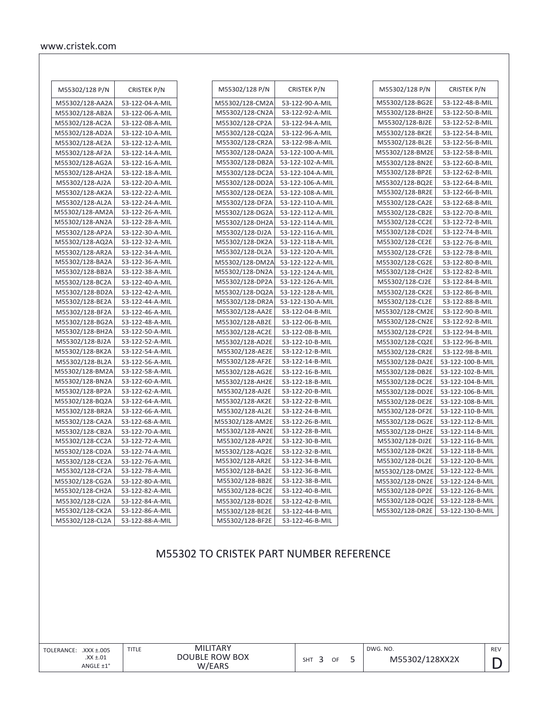| M55302/128 P/N  | CRISTEK P/N     |
|-----------------|-----------------|
| M55302/128-AA2A | 53-122-04-A-MIL |
| M55302/128-AB2A | 53-122-06-A-MIL |
| M55302/128-AC2A | 53-122-08-A-MIL |
| M55302/128-AD2A | 53-122-10-A-MIL |
| M55302/128-AE2A | 53-122-12-A-MIL |
| M55302/128-AF2A | 53-122-14-A-MIL |
| M55302/128-AG2A | 53-122-16-A-MIL |
| M55302/128-AH2A | 53-122-18-A-MIL |
| M55302/128-AJ2A | 53-122-20-A-MIL |
| M55302/128-AK2A | 53-122-22-A-MIL |
| M55302/128-AL2A | 53-122-24-A-MIL |
| M55302/128-AM2A | 53-122-26-A-MIL |
| M55302/128-AN2A | 53-122-28-A-MIL |
| M55302/128-AP2A | 53-122-30-A-MIL |
| M55302/128-AQ2A | 53-122-32-A-MIL |
| M55302/128-AR2A | 53-122-34-A-MIL |
| M55302/128-BA2A | 53-122-36-A-MIL |
| M55302/128-BB2A | 53-122-38-A-MIL |
| M55302/128-BC2A | 53-122-40-A-MIL |
| M55302/128-BD2A | 53-122-42-A-MIL |
| M55302/128-BE2A | 53-122-44-A-MIL |
| M55302/128-BF2A | 53-122-46-A-MIL |
| M55302/128-BG2A | 53-122-48-A-MIL |
| M55302/128-BH2A | 53-122-50-A-MIL |
| M55302/128-BJ2A | 53-122-52-A-MIL |
| M55302/128-BK2A | 53-122-54-A-MIL |
| M55302/128-BL2A | 53-122-56-A-MIL |
| M55302/128-BM2A | 53-122-58-A-MIL |
| M55302/128-BN2A | 53-122-60-A-MIL |
| M55302/128-BP2A | 53-122-62-A-MIL |
| M55302/128-BQ2A | 53-122-64-A-MIL |
| M55302/128-BR2A | 53-122-66-A-MIL |
| M55302/128-CA2A | 53-122-68-A-MIL |
| M55302/128-CB2A | 53-122-70-A-MIL |
| M55302/128-CC2A | 53-122-72-A-MIL |
| M55302/128-CD2A | 53-122-74-A-MIL |
| M55302/128-CE2A | 53-122-76-A-MIL |
| M55302/128-CF2A | 53-122-78-A-MIL |
| M55302/128-CG2A | 53-122-80-A-MIL |
| M55302/128-CH2A | 53-122-82-A-MIL |
| M55302/128-CJ2A | 53-122-84-A-MIL |
| M55302/128-CK2A | 53-122-86-A-MIL |
| M55302/128-CL2A | 53-122-88-A-MIL |

| M55302/128 P/N  | <b>CRISTEK P/N</b> |
|-----------------|--------------------|
| M55302/128-CM2A | 53-122-90-A-MIL    |
| M55302/128-CN2A | 53-122-92-A-MIL    |
| M55302/128-CP2A | 53-122-94-A-MIL    |
| M55302/128-CQ2A | 53-122-96-A-MIL    |
| M55302/128-CR2A | 53-122-98-A-MIL    |
| M55302/128-DA2A | 53-122-100-A-MIL   |
| M55302/128-DB2A | 53-122-102-A-MIL   |
| M55302/128-DC2A | 53-122-104-A-MIL   |
| M55302/128-DD2A | 53-122-106-A-MIL   |
| M55302/128-DE2A | 53-122-108-A-MIL   |
| M55302/128-DF2A | 53-122-110-A-MIL   |
| M55302/128-DG2A | 53-122-112-A-MIL   |
| M55302/128-DH2A | 53-122-114-A-MIL   |
| M55302/128-DJ2A | 53-122-116-A-MIL   |
| M55302/128-DK2A | 53-122-118-A-MIL   |
| M55302/128-DL2A | 53-122-120-A-MIL   |
| M55302/128-DM2A | 53-122-122-A-MIL   |
| M55302/128-DN2A | 53-122-124-A-MIL   |
| M55302/128-DP2A | 53-122-126-A-MIL   |
| M55302/128-DQ2A | 53-122-128-A-MIL   |
| M55302/128-DR2A | 53-122-130-A-MIL   |
| M55302/128-AA2E | 53-122-04-B-MIL    |
| M55302/128-AB2E | 53-122-06-B-MIL    |
| M55302/128-AC2E | 53-122-08-B-MIL    |
| M55302/128-AD2E | 53-122-10-B-MIL    |
| M55302/128-AE2E | 53-122-12-B-MIL    |
| M55302/128-AF2E | 53-122-14-B-MIL    |
| M55302/128-AG2E | 53-122-16-B-MIL    |
| M55302/128-AH2E | 53-122-18-B-MIL    |
| M55302/128-AJ2E | 53-122-20-B-MIL    |
| M55302/128-AK2E | 53-122-22-B-MIL    |
| M55302/128-AL2E | 53-122-24-B-MIL    |
| M55302/128-AM2E | 53-122-26-B-MIL    |
| M55302/128-AN2E | 53-122-28-B-MIL    |
| M55302/128-AP2E | 53-122-30-B-MIL    |
| M55302/128-AQ2E | 53-122-32-B-MIL    |
| M55302/128-AR2E | 53-122-34-B-MIL    |
| M55302/128-BA2E | 53-122-36-B-MIL    |
| M55302/128-BB2E | 53-122-38-B-MIL    |
| M55302/128-BC2E | 53-122-40-B-MIL    |
| M55302/128-BD2E | 53-122-42-B-MIL    |
| M55302/128-BE2E | 53-122-44-B-MIL    |
| M55302/128-BF2E | 53-122-46-B-MIL    |

| M55302/128 P/N  | <b>CRISTEK P/N</b> |
|-----------------|--------------------|
| M55302/128-BG2E | 53-122-48-B-MIL    |
| M55302/128-BH2E | 53-122-50-B-MIL    |
| M55302/128-BJ2E | 53-122-52-B-MIL    |
| M55302/128-BK2E | 53-122-54-B-MIL    |
| M55302/128-BL2E | 53-122-56-B-MIL    |
| M55302/128-BM2E | 53-122-58-B-MIL    |
| M55302/128-BN2E | 53-122-60-B-MIL    |
| M55302/128-BP2E | 53-122-62-B-MIL    |
| M55302/128-BQ2E | 53-122-64-B-MIL    |
| M55302/128-BR2E | 53-122-66-B-MIL    |
| M55302/128-CA2E | 53-122-68-B-MIL    |
| M55302/128-CB2E | 53-122-70-B-MIL    |
| M55302/128-CC2E | 53-122-72-B-MIL    |
| M55302/128-CD2E | 53-122-74-B-MIL    |
| M55302/128-CE2E | 53-122-76-B-MIL    |
| M55302/128-CF2E | 53-122-78-B-MIL    |
| M55302/128-CG2E | 53-122-80-B-MIL    |
| M55302/128-CH2E | 53-122-82-B-MIL    |
| M55302/128-CJ2E | 53-122-84-B-MIL    |
| M55302/128-CK2E | 53-122-86-B-MIL    |
| M55302/128-CL2E | 53-122-88-B-MIL    |
| M55302/128-CM2E | 53-122-90-B-MIL    |
| M55302/128-CN2E | 53-122-92-B-MIL    |
| M55302/128-CP2E | 53-122-94-B-MIL    |
| M55302/128-CQ2E | 53-122-96-B-MIL    |
| M55302/128-CR2E | 53-122-98-B-MIL    |
| M55302/128-DA2E | 53-122-100-B-MIL   |
| M55302/128-DB2E | 53-122-102-B-MIL   |
| M55302/128-DC2E | 53-122-104-B-MII   |
| M55302/128-DD2E | 53-122-106-B-MIL   |
| M55302/128-DE2E | 53-122-108-B-MIL   |
| M55302/128-DF2E | 53-122-110-B-MIL   |
| M55302/128-DG2E | 53-122-112-B-MIL   |
| M55302/128-DH2E | 53-122-114-B-MIL   |
| M55302/128-DJ2E | 53-122-116-B-MIL   |
| M55302/128-DK2E | 53-122-118-B-MIL   |
| M55302/128-DL2E | 53-122-120-B-MII   |
| M55302/128-DM2E | 53-122-122-B-MIL   |
| M55302/128-DN2E | 53-122-124-B-MIL   |
| M55302/128-DP2E | 53-122-126-B-MIL   |
| M55302/128-DQ2E | 53-122-128-B-MIL   |
| M55302/128-DR2E | 53-122-130-B-MIL   |
|                 |                    |

# M55302 TO CRISTEK PART NUMBER REFERENCE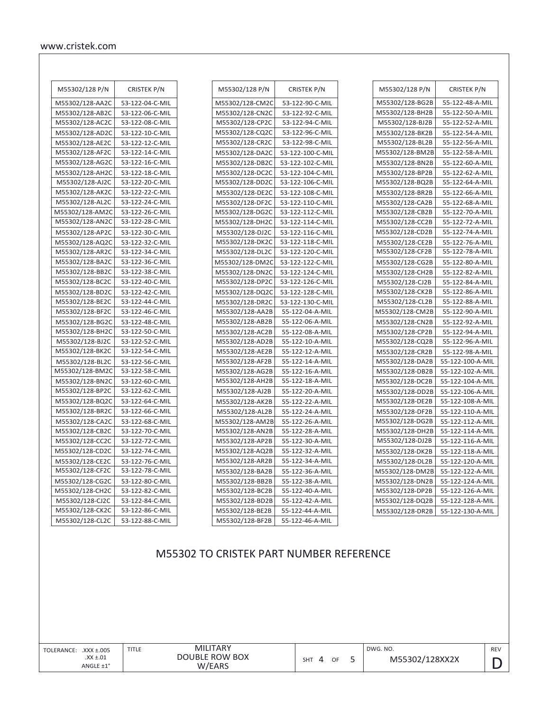| M55302/128 P/N  | <b>CRISTEK P/N</b> |
|-----------------|--------------------|
| M55302/128-AA2C | 53-122-04-C-MIL    |
| M55302/128-AB2C | 53-122-06-C-MIL    |
| M55302/128-AC2C | 53-122-08-C-MIL    |
| M55302/128-AD2C | 53-122-10-C-MIL    |
| M55302/128-AE2C | 53-122-12-C-MIL    |
| M55302/128-AF2C | 53-122-14-C-MIL    |
| M55302/128-AG2C | 53-122-16-C-MIL    |
| M55302/128-AH2C | 53-122-18-C-MIL    |
| M55302/128-AJ2C | 53-122-20-C-MIL    |
| M55302/128-AK2C | 53-122-22-C-MIL    |
| M55302/128-AL2C | 53-122-24-C-MIL    |
| M55302/128-AM2C | 53-122-26-C-MIL    |
| M55302/128-AN2C | 53-122-28-C-MIL    |
| M55302/128-AP2C | 53-122-30-C-MIL    |
| M55302/128-AQ2C | 53-122-32-C-MIL    |
| M55302/128-AR2C | 53-122-34-C-MIL    |
| M55302/128-BA2C | 53-122-36-C-MIL    |
| M55302/128-BB2C | 53-122-38-C-MIL    |
| M55302/128-BC2C | 53-122-40-C-MIL    |
| M55302/128-BD2C | 53-122-42-C-MIL    |
| M55302/128-BE2C | 53-122-44-C-MIL    |
| M55302/128-BF2C | 53-122-46-C-MIL    |
| M55302/128-BG2C | 53-122-48-C-MIL    |
| M55302/128-BH2C | 53-122-50-C-MIL    |
| M55302/128-BJ2C | 53-122-52-C-MIL    |
| M55302/128-BK2C | 53-122-54-C-MIL    |
| M55302/128-BL2C | 53-122-56-C-MIL    |
| M55302/128-BM2C | 53-122-58-C-MIL    |
| M55302/128-BN2C | 53-122-60-C-MIL    |
| M55302/128-BP2C | 53-122-62-C-MIL    |
| M55302/128-BQ2C | 53-122-64-C-MIL    |
| M55302/128-BR2C | 53-122-66-C-MIL    |
| M55302/128-CA2C | 53-122-68-C-MIL    |
| M55302/128-CB2C | 53-122-70-C-MIL    |
| M55302/128-CC2C | 53-122-72-C-MIL    |
| M55302/128-CD2C | 53-122-74-C-MIL    |
| M55302/128-CE2C | 53-122-76-C-MIL    |
| M55302/128-CF2C | 53-122-78-C-MIL    |
| M55302/128-CG2C | 53-122-80-C-MIL    |
| M55302/128-CH2C | 53-122-82-C-MIL    |
| M55302/128-CJ2C | 53-122-84-C-MIL    |
| M55302/128-CK2C | 53-122-86-C-MIL    |
| M55302/128-CL2C | 53-122-88-C-MIL    |

| M55302/128 P/N  | <b>CRISTEK P/N</b> |
|-----------------|--------------------|
| M55302/128-CM2C | 53-122-90-C-MIL    |
| M55302/128-CN2C | 53-122-92-C-MIL    |
| M55302/128-CP2C | 53-122-94-C-MIL    |
| M55302/128-CQ2C | 53-122-96-C-MIL    |
| M55302/128-CR2C | 53-122-98-C-MIL    |
| M55302/128-DA2C | 53-122-100-C-MIL   |
| M55302/128-DB2C | 53-122-102-C-MIL   |
| M55302/128-DC2C | 53-122-104-C-MIL   |
| M55302/128-DD2C | 53-122-106-C-MIL   |
| M55302/128-DE2C | 53-122-108-C-MIL   |
| M55302/128-DF2C | 53-122-110-C-MIL   |
| M55302/128-DG2C | 53-122-112-C-MIL   |
| M55302/128-DH2C | 53-122-114-C-MIL   |
| M55302/128-DJ2C | 53-122-116-C-MIL   |
| M55302/128-DK2C | 53-122-118-C-MIL   |
| M55302/128-DL2C | 53-122-120-C-MIL   |
| M55302/128-DM2C | 53-122-122-C-MIL   |
| M55302/128-DN2C | 53-122-124-C-MIL   |
| M55302/128-DP2C | 53-122-126-C-MIL   |
| M55302/128-DQ2C | 53-122-128-C-MIL   |
| M55302/128-DR2C | 53-122-130-C-MIL   |
| M55302/128-AA2B | 55-122-04-A-MIL    |
| M55302/128-AB2B | 55-122-06-A-MIL    |
| M55302/128-AC2B | 55-122-08-A-MIL    |
| M55302/128-AD2B | 55-122-10-A-MIL    |
| M55302/128-AE2B | 55-122-12-A-MIL    |
| M55302/128-AF2B | 55-122-14-A-MIL    |
| M55302/128-AG2B | 55-122-16-A-MIL    |
| M55302/128-AH2B | 55-122-18-A-MIL    |
| M55302/128-AJ2B | 55-122-20-A-MIL    |
| M55302/128-AK2B | 55-122-22-A-MIL    |
| M55302/128-AL2B | 55-122-24-A-MIL    |
| M55302/128-AM2B | 55-122-26-A-MIL    |
| M55302/128-AN2B | 55-122-28-A-MIL    |
| M55302/128-AP2B | 55-122-30-A-MIL    |
| M55302/128-AQ2B | 55-122-32-A-MIL    |
| M55302/128-AR2B | 55-122-34-A-MIL    |
| M55302/128-BA2B | 55-122-36-A-MIL    |
| M55302/128-BB2B | 55-122-38-A-MIL    |
| M55302/128-BC2B | 55-122-40-A-MIL    |
| M55302/128-BD2B | 55-122-42-A-MIL    |
| M55302/128-BE2B | 55-122-44-A-MIL    |
| M55302/128-BF2B | 55-122-46-A-MIL    |

| M55302/128 P/N  | <b>CRISTEK P/N</b> |
|-----------------|--------------------|
|                 |                    |
| M55302/128-BG2B | 55-122-48-A-MIL    |
| M55302/128-BH2B | 55-122-50-A-MIL    |
| M55302/128-BJ2B | 55-122-52-A-MIL    |
| M55302/128-BK2B | 55-122-54-A-MIL    |
| M55302/128-BL2B | 55-122-56-A-MIL    |
| M55302/128-BM2B | 55-122-58-A-MIL    |
| M55302/128-BN2B | 55-122-60-A-MIL    |
| M55302/128-BP2B | 55-122-62-A-MIL    |
| M55302/128-BQ2B | 55-122-64-A-MIL    |
| M55302/128-BR2B | 55-122-66-A-MIL    |
| M55302/128-CA2B | 55-122-68-A-MIL    |
| M55302/128-CB2B | 55-122-70-A-MIL    |
| M55302/128-CC2B | 55-122-72-A-MIL    |
| M55302/128-CD2B | 55-122-74-A-MIL    |
| M55302/128-CE2B | 55-122-76-A-MIL    |
| M55302/128-CF2B | 55-122-78-A-MIL    |
| M55302/128-CG2B | 55-122-80-A-MIL    |
| M55302/128-CH2B | 55-122-82-A-MIL    |
| M55302/128-CJ2B | 55-122-84-A-MIL    |
| M55302/128-CK2B | 55-122-86-A-MIL    |
| M55302/128-CL2B | 55-122-88-A-MIL    |
| M55302/128-CM2B | 55-122-90-A-MIL    |
| M55302/128-CN2B | 55-122-92-A-MIL    |
| M55302/128-CP2B | 55-122-94-A-MIL    |
| M55302/128-CQ2B | 55-122-96-A-MIL    |
| M55302/128-CR2B | 55-122-98-A-MIL    |
| M55302/128-DA2B | 55-122-100-A-MIL   |
| M55302/128-DB2B | 55-122-102-A-MIL   |
| M55302/128-DC2B | 55-122-104-A-MIL   |
| M55302/128-DD2B | 55-122-106-A-MIL   |
| M55302/128-DE2B | 55-122-108-A-MIL   |
| M55302/128-DF2B | 55-122-110-A-MIL   |
| M55302/128-DG2B | 55-122-112-A-MIL   |
| M55302/128-DH2B | 55-122-114-A-MIL   |
| M55302/128-DJ2B | 55-122-116-A-MIL   |
| M55302/128-DK2B | 55-122-118-A-MIL   |
| M55302/128-DL2B | 55-122-120-A-MIL   |
| M55302/128-DM2B | 55-122-122-A-MIL   |
| M55302/128-DN2B | 55-122-124-A-MIL   |
| M55302/128-DP2B | 55-122-126-A-MIL   |
| M55302/128-DQ2B | 55-122-128-A-MIL   |
| M55302/128-DR2B | 55-122-130-A-MIL   |

# M55302 TO CRISTEK PART NUMBER REFERENCE

D REV